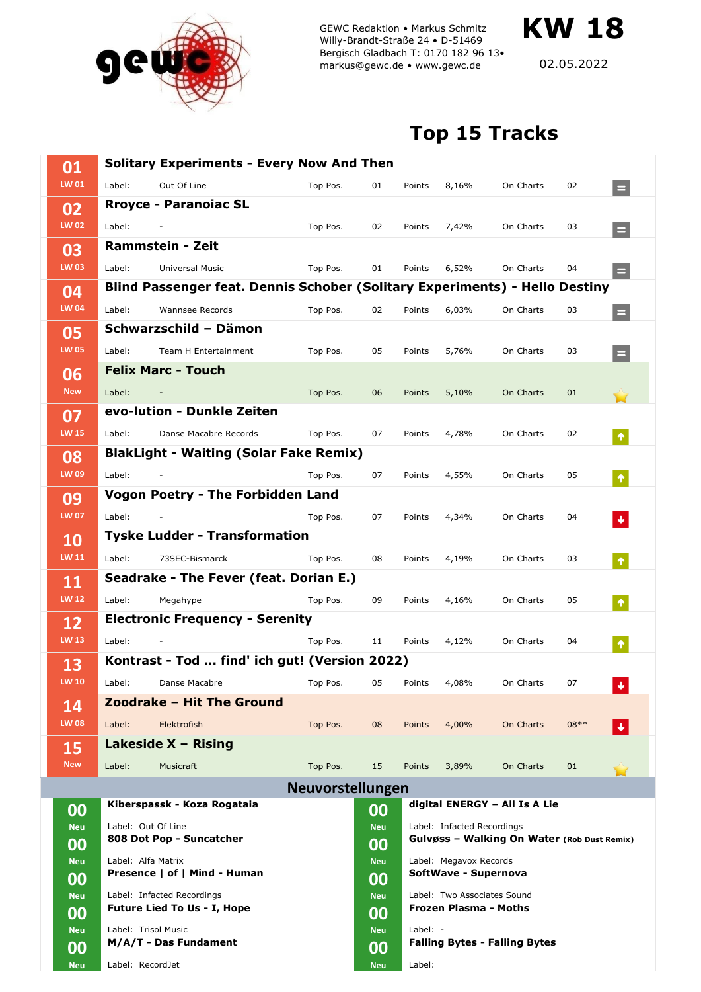

GEWC Redaktion • Markus Schmitz Willy-Brandt-Straße 24 • D-51469 Bergisch Gladbach T: 0170 182 96 13• markus@gewc.de • www.gewc.de

02.05.2022

**KW 18**

## **Top 15 Tracks**

| 01                 | <b>Solitary Experiments - Every Now And Then</b>                                                     |                                               |                  |                               |                                                                                                                             |       |                                      |        |                      |  |
|--------------------|------------------------------------------------------------------------------------------------------|-----------------------------------------------|------------------|-------------------------------|-----------------------------------------------------------------------------------------------------------------------------|-------|--------------------------------------|--------|----------------------|--|
| LW 01              | Label:                                                                                               | Out Of Line                                   | Top Pos.         | 01                            | Points                                                                                                                      | 8,16% | On Charts                            | 02     | $\equiv$             |  |
| 02                 |                                                                                                      | <b>Rroyce - Paranoiac SL</b>                  |                  |                               |                                                                                                                             |       |                                      |        |                      |  |
| <b>LW 02</b>       | Label:                                                                                               |                                               | Top Pos.         | 02                            | Points                                                                                                                      | 7,42% | On Charts                            | 03     | $=$                  |  |
| 03                 |                                                                                                      | Rammstein - Zeit                              |                  |                               |                                                                                                                             |       |                                      |        |                      |  |
| <b>LW 03</b>       | Label:                                                                                               | Universal Music                               | Top Pos.         | 01                            | Points                                                                                                                      | 6,52% | On Charts                            | 04     | $=$                  |  |
| 04<br><b>LW 04</b> | Blind Passenger feat. Dennis Schober (Solitary Experiments) - Hello Destiny                          |                                               |                  |                               |                                                                                                                             |       |                                      |        |                      |  |
|                    | Label:                                                                                               | Wannsee Records                               | Top Pos.         | 02                            | Points                                                                                                                      | 6,03% | On Charts                            | 03     | $=$                  |  |
| 05<br><b>LW 05</b> | Schwarzschild - Dämon                                                                                |                                               |                  |                               |                                                                                                                             |       |                                      |        |                      |  |
|                    | Label:                                                                                               | Team H Entertainment                          | Top Pos.         | 05                            | Points                                                                                                                      | 5,76% | On Charts                            | 03     | $\equiv$             |  |
| 06                 | <b>Felix Marc - Touch</b>                                                                            |                                               |                  |                               |                                                                                                                             |       |                                      |        |                      |  |
| <b>New</b>         | Label:                                                                                               |                                               | Top Pos.         | 06                            | Points                                                                                                                      | 5,10% | <b>On Charts</b>                     | 01     |                      |  |
| 07<br><b>LW 15</b> | evo-lution - Dunkle Zeiten                                                                           |                                               |                  |                               |                                                                                                                             |       |                                      |        |                      |  |
|                    | Label:                                                                                               | Danse Macabre Records                         | Top Pos.         | 07                            | Points                                                                                                                      | 4,78% | On Charts                            | 02     | $\hat{\mathbf{r}}$   |  |
| 08                 |                                                                                                      | <b>BlakLight - Waiting (Solar Fake Remix)</b> |                  |                               |                                                                                                                             |       |                                      |        |                      |  |
| LW 09              | Label:                                                                                               |                                               | Top Pos.         | 07                            | Points                                                                                                                      | 4,55% | On Charts                            | 05     | $\hat{\mathbf{T}}$   |  |
| 09                 |                                                                                                      | <b>Vogon Poetry - The Forbidden Land</b>      |                  |                               |                                                                                                                             |       |                                      |        |                      |  |
| <b>LW 07</b>       | Label:                                                                                               |                                               | Top Pos.         | 07                            | Points                                                                                                                      | 4,34% | On Charts                            | 04     | ◆                    |  |
| 10<br>LW 11        | <b>Tyske Ludder - Transformation</b>                                                                 |                                               |                  |                               |                                                                                                                             |       |                                      |        |                      |  |
|                    | Label:                                                                                               | 73SEC-Bismarck                                | Top Pos.         | 08                            | Points                                                                                                                      | 4,19% | On Charts                            | 03     | $\hat{\mathbf{T}}$   |  |
| 11                 |                                                                                                      | Seadrake - The Fever (feat. Dorian E.)        |                  |                               |                                                                                                                             |       |                                      |        |                      |  |
| <b>LW 12</b>       | Label:                                                                                               | Megahype                                      | Top Pos.         | 09                            | Points                                                                                                                      | 4,16% | On Charts                            | 05     | $\hat{\mathbf{T}}$   |  |
| 12                 |                                                                                                      | <b>Electronic Frequency - Serenity</b>        |                  |                               |                                                                                                                             |       |                                      |        |                      |  |
| <b>LW 13</b>       | Label:                                                                                               |                                               | Top Pos.         | 11                            | Points                                                                                                                      | 4,12% | On Charts                            | 04     | $\hat{\pmb{\gamma}}$ |  |
| 13                 |                                                                                                      | Kontrast - Tod  find' ich gut! (Version 2022) |                  |                               |                                                                                                                             |       |                                      |        |                      |  |
| <b>LW 10</b>       | Label:                                                                                               | Danse Macabre                                 | Top Pos.         | 05                            | Points                                                                                                                      | 4,08% | On Charts                            | 07     | $\ddot{\phantom{0}}$ |  |
| 14                 | Zoodrake - Hit The Ground                                                                            |                                               |                  |                               |                                                                                                                             |       |                                      |        |                      |  |
| <b>LW 08</b>       | Label:                                                                                               | Elektrofish                                   | Top Pos.         | 08                            | Points                                                                                                                      | 4,00% | On Charts                            | $08**$ |                      |  |
| 15                 |                                                                                                      | Lakeside $X - Rising$                         |                  |                               |                                                                                                                             |       |                                      |        |                      |  |
| <b>New</b>         | Label:                                                                                               | Musicraft                                     | Top Pos.         | 15                            | Points                                                                                                                      | 3,89% | On Charts                            | 01     |                      |  |
|                    |                                                                                                      |                                               | Neuvorstellungen |                               |                                                                                                                             |       |                                      |        |                      |  |
| 00                 |                                                                                                      | Kiberspassk - Koza Rogataia                   | 00               | digital ENERGY - All Is A Lie |                                                                                                                             |       |                                      |        |                      |  |
| <b>Neu</b>         | Label: Out Of Line<br>808 Dot Pop - Suncatcher<br>Label: Alfa Matrix<br>Presence   of   Mind - Human |                                               |                  | <b>Neu</b>                    | Label: Infacted Recordings<br>Gulvøss - Walking On Water (Rob Dust Remix)<br>Label: Megavox Records<br>SoftWave - Supernova |       |                                      |        |                      |  |
| 00                 |                                                                                                      |                                               |                  | 00                            |                                                                                                                             |       |                                      |        |                      |  |
| <b>Neu</b>         |                                                                                                      |                                               |                  | <b>Neu</b>                    |                                                                                                                             |       |                                      |        |                      |  |
| 00<br>Neu          | Label: Infacted Recordings                                                                           |                                               |                  | 00<br><b>Neu</b>              | Label: Two Associates Sound<br>Frozen Plasma - Moths                                                                        |       |                                      |        |                      |  |
| 00                 | <b>Future Lied To Us - I, Hope</b>                                                                   |                                               | 00               |                               |                                                                                                                             |       |                                      |        |                      |  |
| <b>Neu</b>         | Label: Trisol Music                                                                                  |                                               |                  | <b>Neu</b>                    | Label: $-$                                                                                                                  |       |                                      |        |                      |  |
| 00                 |                                                                                                      | M/A/T - Das Fundament                         |                  | 00                            |                                                                                                                             |       | <b>Falling Bytes - Falling Bytes</b> |        |                      |  |
| Neu                | Label: RecordJet                                                                                     |                                               |                  | <b>Neu</b>                    | Label:                                                                                                                      |       |                                      |        |                      |  |